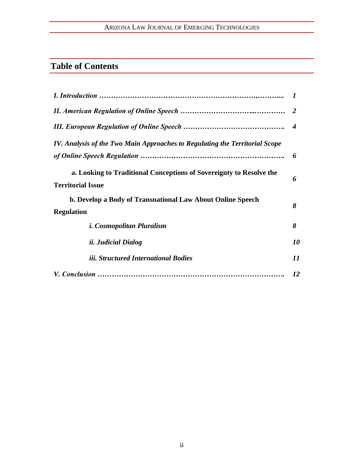## ARIZONA LAW JOURNAL OF EMERGING TECHNOLOGIES

# **Table of Contents**

|                                                                                                 | $\boldsymbol{4}$ |
|-------------------------------------------------------------------------------------------------|------------------|
| IV. Analysis of the Two Main Approaches to Regulating the Territorial Scope                     |                  |
|                                                                                                 | 6                |
| a. Looking to Traditional Conceptions of Sovereignty to Resolve the<br><b>Territorial Issue</b> | 6                |
| b. Develop a Body of Transnational Law About Online Speech                                      | 8                |
| <b>Regulation</b>                                                                               |                  |
| <i>i. Cosmopolitan Pluralism</i>                                                                | 8                |
| <i>ii. Judicial Dialog</i>                                                                      | 10               |
| iii. Structured International Bodies                                                            | 11               |
|                                                                                                 | 12               |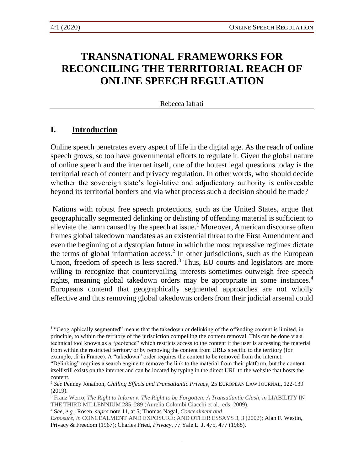# **TRANSNATIONAL FRAMEWORKS FOR RECONCILING THE TERRITORIAL REACH OF ONLINE SPEECH REGULATION**

Rebecca Iafrati

#### **I. Introduction**

Online speech penetrates every aspect of life in the digital age. As the reach of online speech grows, so too have governmental efforts to regulate it. Given the global nature of online speech and the internet itself, one of the hottest legal questions today is the territorial reach of content and privacy regulation. In other words, who should decide whether the sovereign state's legislative and adjudicatory authority is enforceable beyond its territorial borders and via what process such a decision should be made?

Nations with robust free speech protections, such as the United States, argue that geographically segmented delinking or delisting of offending material is sufficient to alleviate the harm caused by the speech at issue.<sup>1</sup> Moreover, American discourse often frames global takedown mandates as an existential threat to the First Amendment and even the beginning of a dystopian future in which the most repressive regimes dictate the terms of global information access.<sup>2</sup> In other jurisdictions, such as the European Union, freedom of speech is less sacred.<sup>3</sup> Thus, EU courts and legislators are more willing to recognize that countervailing interests sometimes outweigh free speech rights, meaning global takedown orders may be appropriate in some instances.<sup>4</sup> Europeans contend that geographically segmented approaches are not wholly effective and thus removing global takedowns orders from their judicial arsenal could

<sup>&</sup>lt;sup>1</sup> "Geographically segmented" means that the takedown or delinking of the offending content is limited, in principle, to within the territory of the jurisdiction compelling the content removal. This can be done via a technical tool known as a "geofence" which restricts access to the content if the user is accessing the material from within the restricted territory or by removing the content from URLs specific to the territory (for example, .fr in France). A "takedown" order requires the content to be removed from the internet.

<sup>&</sup>quot;Delinking" requires a search engine to remove the link to the material from their platform, but the content itself still exists on the internet and can be located by typing in the direct URL to the website that hosts the content.

<sup>2</sup> *See* Penney Jonathon, *Chilling Effects and Transatlantic Privacy*, 25 EUROPEAN LAW JOURNAL, 122-139 (2019).

<sup>3</sup> Franz Werro, *The Right to Inform v. The Right to be Forgotten: A Transatlantic Clash*, *in* LIABILITY IN THE THIRD MILLENNIUM 285, 289 (Aurelia Colombi Ciacchi et al., eds. 2009).

<sup>4</sup> S*ee, e.g.*, Rosen, *supra* note 11, at 5; Thomas Nagal, *Concealment and* 

*Exposure, in* CONCEALMENT AND EXPOSURE: AND OTHER ESSAYS 3, 3 (2002); Alan F. Westin, Privacy & Freedom (1967); Charles Fried, *Privacy*, 77 Yale L. J. 475, 477 (1968).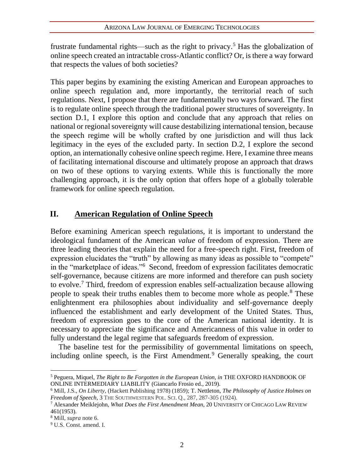frustrate fundamental rights—such as the right to privacy.<sup>5</sup> Has the globalization of online speech created an intractable cross-Atlantic conflict? Or, is there a way forward that respects the values of both societies?

This paper begins by examining the existing American and European approaches to online speech regulation and, more importantly, the territorial reach of such regulations. Next, I propose that there are fundamentally two ways forward. The first is to regulate online speech through the traditional power structures of sovereignty. In section D.1, I explore this option and conclude that any approach that relies on national or regional sovereignty will cause destabilizing international tension, because the speech regime will be wholly crafted by one jurisdiction and will thus lack legitimacy in the eyes of the excluded party. In section D.2, I explore the second option, an internationally cohesive online speech regime. Here, I examine three means of facilitating international discourse and ultimately propose an approach that draws on two of these options to varying extents. While this is functionally the more challenging approach, it is the only option that offers hope of a globally tolerable framework for online speech regulation.

#### **II. American Regulation of Online Speech**

Before examining American speech regulations, it is important to understand the ideological fundament of the American *value* of freedom of expression. There are three leading theories that explain the need for a free-speech right. First, freedom of expression elucidates the "truth" by allowing as many ideas as possible to "compete" in the "marketplace of ideas."<sup>6</sup> Second, freedom of expression facilitates democratic self-governance, because citizens are more informed and therefore can push society to evolve.<sup>7</sup> Third, freedom of expression enables self-actualization because allowing people to speak their truths enables them to become more whole as people.<sup>8</sup> These enlightenment era philosophies about individuality and self-governance deeply influenced the establishment and early development of the United States. Thus, freedom of expression goes to the core of the American national identity. It is necessary to appreciate the significance and Americanness of this value in order to fully understand the legal regime that safeguards freedom of expression.

The baseline test for the permissibility of governmental limitations on speech, including online speech, is the First Amendment.<sup>9</sup> Generally speaking, the court

<sup>5</sup> Peguera, Miquel, *The Right to Be Forgotten in the European Union, in* THE OXFORD HANDBOOK OF ONLINE INTERMEDIARY LIABILITY (Giancarlo Frosio ed., 2019).

<sup>6</sup> Mill, J.S., *On Liberty,* (Hackett Publishing 1978) (1859); T. Nettleton, *The Philosophy of Justice Holmes on Freedom of Speech*, 3 THE SOUTHWESTERN POL.SCI. Q., 287, 287-305 (1924).

<sup>7</sup> Alexander Meiklejohn, *What Does the First Amendment Mean*, 20 UNIVERSITY OF CHICAGO LAW REVIEW 461(1953).

<sup>8</sup> Mill, *supra* note 6.

<sup>9</sup> U.S. Const. amend. I.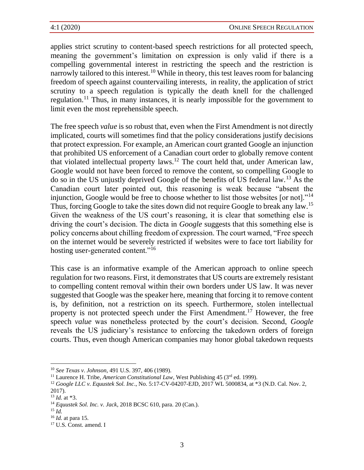applies strict scrutiny to content-based speech restrictions for all protected speech, meaning the government's limitation on expression is only valid if there is a compelling governmental interest in restricting the speech and the restriction is narrowly tailored to this interest.<sup>10</sup> While in theory, this test leaves room for balancing freedom of speech against countervailing interests, in reality, the application of strict scrutiny to a speech regulation is typically the death knell for the challenged regulation.<sup>11</sup> Thus, in many instances, it is nearly impossible for the government to limit even the most reprehensible speech.

The free speech *value* is so robust that, even when the First Amendment is not directly implicated, courts will sometimes find that the policy considerations justify decisions that protect expression. For example, an American court granted Google an injunction that prohibited US enforcement of a Canadian court order to globally remove content that violated intellectual property laws.<sup>12</sup> The court held that, under American law, Google would not have been forced to remove the content, so compelling Google to do so in the US unjustly deprived Google of the benefits of US federal law.<sup>13</sup> As the Canadian court later pointed out, this reasoning is weak because "absent the injunction, Google would be free to choose whether to list those websites [or not]."<sup>14</sup> Thus, forcing Google to take the sites down did not require Google to break any law.<sup>15</sup> Given the weakness of the US court's reasoning, it is clear that something else is driving the court's decision. The dicta in *Google* suggests that this something else is policy concerns about chilling freedom of expression. The court warned, "Free speech on the internet would be severely restricted if websites were to face tort liability for hosting user-generated content."<sup>16</sup>

This case is an informative example of the American approach to online speech regulation for two reasons. First, it demonstrates that US courts are extremely resistant to compelling content removal within their own borders under US law. It was never suggested that Google was the speaker here, meaning that forcing it to remove content is, by definition, not a restriction on its speech. Furthermore, stolen intellectual property is not protected speech under the First Amendment.<sup>17</sup> However, the free speech *value* was nonetheless protected by the court's decision. Second, *Google* reveals the US judiciary's resistance to enforcing the takedown orders of foreign courts. Thus, even though American companies may honor global takedown requests

<sup>10</sup> *See Texas v*. *Johnson*, 491 U.S. 397, 406 (1989).

<sup>&</sup>lt;sup>11</sup> Laurence H. Tribe, *American Constitutional Law*, West Publishing 45 (3<sup>rd</sup> ed. 1999).

<sup>12</sup> *Google LLC v. Equustek Sol. Inc*., No. 5:17-CV-04207-EJD, 2017 WL 5000834, at \*3 (N.D. Cal. Nov. 2, 2017).

<sup>13</sup> *Id.* at \*3.

<sup>14</sup> *Equustek Sol. Inc. v. Jack*, 2018 BCSC 610, para. 20 (Can.).

 $^{15}$  *Id.* 

<sup>16</sup> *Id.* at para 15.

<sup>17</sup> U.S. Const. amend. I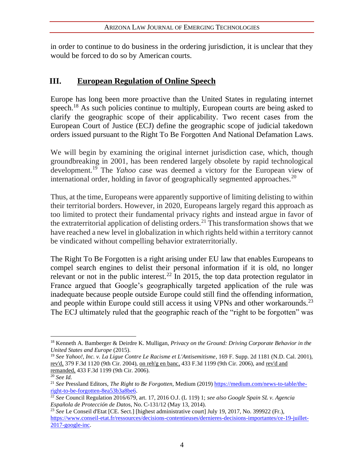in order to continue to do business in the ordering jurisdiction, it is unclear that they would be forced to do so by American courts.

### **III. European Regulation of Online Speech**

Europe has long been more proactive than the United States in regulating internet speech.<sup>18</sup> As such policies continue to multiply, European courts are being asked to clarify the geographic scope of their applicability. Two recent cases from the European Court of Justice (ECJ) define the geographic scope of judicial takedown orders issued pursuant to the Right To Be Forgotten And National Defamation Laws.

We will begin by examining the original internet jurisdiction case, which, though groundbreaking in 2001, has been rendered largely obsolete by rapid technological development.<sup>19</sup> The *Yahoo* case was deemed a victory for the European view of international order, holding in favor of geographically segmented approaches.<sup>20</sup>

Thus, at the time, Europeans were apparently supportive of limiting delisting to within their territorial borders. However, in 2020, Europeans largely regard this approach as too limited to protect their fundamental privacy rights and instead argue in favor of the extraterritorial application of delisting orders.<sup>21</sup> This transformation shows that we have reached a new level in globalization in which rights held within a territory cannot be vindicated without compelling behavior extraterritorially.

The Right To Be Forgotten is a right arising under EU law that enables Europeans to compel search engines to delist their personal information if it is old, no longer relevant or not in the public interest.<sup>22</sup> In 2015, the top data protection regulator in France argued that Google's geographically targeted application of the rule was inadequate because people outside Europe could still find the offending information, and people within Europe could still access it using VPNs and other workarounds.<sup>23</sup> The ECJ ultimately ruled that the geographic reach of the "right to be forgotten" was

<sup>18</sup> Kenneth A. Bamberger & Deirdre K. Mulligan, *Privacy on the Ground: Driving Corporate Behavior in the United States and Europe* (2015).

<sup>19</sup> *See Yahoo!, Inc. v. La Ligue Contre Le Racisme et L'Antisemitisme*, 169 F. Supp. 2d 1181 (N.D. Cal. 2001), rev'd, 379 F.3d 1120 (9th Cir. 2004), on reh'g en banc, 433 F.3d 1199 (9th Cir. 2006), and rev'd and remanded, 433 F.3d 1199 (9th Cir. 2006).

<sup>20</sup> *See Id.*

<sup>21</sup> *See* Pressland Editors, *The Right to Be Forgotten*, Medium (2019[\) https://medium.com/news-to-table/the](https://medium.com/news-to-table/the-right-to-be-forgotten-8ea53b3a8be6)[right-to-be-forgotten-8ea53b3a8be6.](https://medium.com/news-to-table/the-right-to-be-forgotten-8ea53b3a8be6)

<sup>22</sup> *See* Council Regulation 2016/679, art. 17, 2016 O.J. (L 119) 1; *see also Google Spain SL v. Agencia Española de Protección de Dato*s, No. C-131/12 (May 13, 2014).

<sup>23</sup> *See* Le Conseil d'Etat [CE. Sect.] [highest administrative court] July 19, 2017, No. 399922 (Fr.), [https://www.conseil-etat.fr/ressources/decisions-contentieuses/dernieres-decisions-importantes/ce-19-juillet-](https://www.conseil-etat.fr/ressources/decisions-contentieuses/dernieres-decisions-importantes/ce-19-juillet-2017-google-inc)[2017-google-inc.](https://www.conseil-etat.fr/ressources/decisions-contentieuses/dernieres-decisions-importantes/ce-19-juillet-2017-google-inc)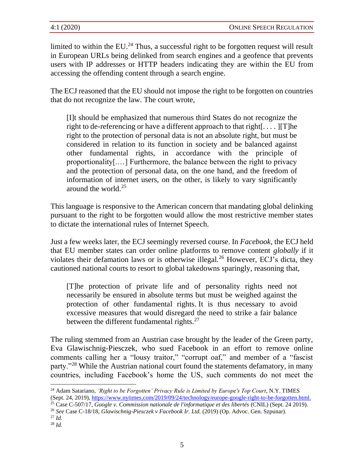limited to within the  $EU^{24}$ . Thus, a successful right to be forgotten request will result in European URLs being delinked from search engines and a geofence that prevents users with IP addresses or HTTP headers indicating they are within the EU from accessing the offending content through a search engine.

The ECJ reasoned that the EU should not impose the right to be forgotten on countries that do not recognize the law. The court wrote,

[I]t should be emphasized that numerous third States do not recognize the right to de-referencing or have a different approach to that right[ $\dots$ ][T]he right to the protection of personal data is not an absolute right, but must be considered in relation to its function in society and be balanced against other fundamental rights, in accordance with the principle of proportionality[.…] Furthermore, the balance between the right to privacy and the protection of personal data, on the one hand, and the freedom of information of internet users, on the other, is likely to vary significantly around the world. $25$ 

This language is responsive to the American concern that mandating global delinking pursuant to the right to be forgotten would allow the most restrictive member states to dictate the international rules of Internet Speech.

Just a few weeks later, the ECJ seemingly reversed course. In *Facebook,* the ECJ held that EU member states can order online platforms to remove content *globally* if it violates their defamation laws or is otherwise illegal.<sup>26</sup> However, ECJ's dicta, they cautioned national courts to resort to global takedowns sparingly, reasoning that,

[T]he protection of private life and of personality rights need not necessarily be ensured in absolute terms but must be weighed against the protection of other fundamental rights. It is thus necessary to avoid excessive measures that would disregard the need to strike a fair balance between the different fundamental rights. $27$ 

The ruling stemmed from an Austrian case brought by the leader of the Green party, Eva Glawischnig-Piesczek, who sued Facebook in an effort to remove online comments calling her a "lousy traitor," "corrupt oaf," and member of a "fascist party."<sup>28</sup> While the Austrian national court found the statements defamatory, in many countries, including Facebook's home the US, such comments do not meet the

<sup>24</sup> Adam Satariano, *'Right to be Forgotten' Privacy Rule is Limited by Europe's Top Court*, N.Y. TIMES (Sept. 24, 2019),<https://www.nytimes.com/2019/09/24/technology/europe-google-right-to-be-forgotten.html.>

<sup>25</sup> Case C-507/17, *Google v. Commission nationale de l'informatique et des libertés* (CNIL) (Sept. 24 2019).

<sup>26</sup> *See* Case C-18/18, *Glawischnig-Piesczek v Facebook Ir. Ltd.* (2019) (Op. Advoc. Gen. Szpunar).

<sup>27</sup> *Id.*

<sup>28</sup> *Id.*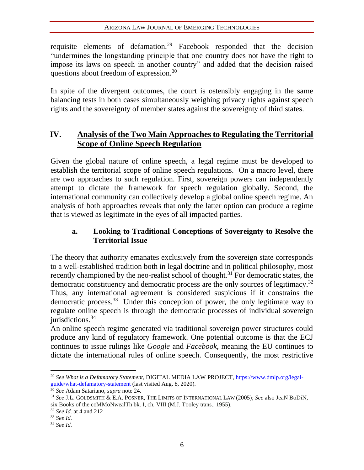requisite elements of defamation.<sup>29</sup> Facebook responded that the decision "undermines the longstanding principle that one country does not have the right to impose its laws on speech in another country" and added that the decision raised questions about freedom of expression.<sup>30</sup>

In spite of the divergent outcomes, the court is ostensibly engaging in the same balancing tests in both cases simultaneously weighing privacy rights against speech rights and the sovereignty of member states against the sovereignty of third states.

### **IV. Analysis of the Two Main Approaches to Regulating the Territorial Scope of Online Speech Regulation**

Given the global nature of online speech, a legal regime must be developed to establish the territorial scope of online speech regulations. On a macro level, there are two approaches to such regulation. First, sovereign powers can independently attempt to dictate the framework for speech regulation globally. Second, the international community can collectively develop a global online speech regime. An analysis of both approaches reveals that only the latter option can produce a regime that is viewed as legitimate in the eyes of all impacted parties.

#### **a. Looking to Traditional Conceptions of Sovereignty to Resolve the Territorial Issue**

The theory that authority emanates exclusively from the sovereign state corresponds to a well-established tradition both in legal doctrine and in political philosophy, most recently championed by the neo-realist school of thought.<sup>31</sup> For democratic states, the democratic constituency and democratic process are the only sources of legitimacy.<sup>32</sup> Thus, any international agreement is considered suspicious if it constrains the democratic process.<sup>33</sup> Under this conception of power, the only legitimate way to regulate online speech is through the democratic processes of individual sovereign jurisdictions. $34$ 

An online speech regime generated via traditional sovereign power structures could produce any kind of regulatory framework. One potential outcome is that the ECJ continues to issue rulings like *Google* and *Facebook*, meaning the EU continues to dictate the international rules of online speech. Consequently, the most restrictive

<sup>32</sup> *See Id.* at 4 and 212

<sup>29</sup> *See What is a Defamatory Statement*, DIGITAL MEDIA LAW PROJECT, [https://www.dmlp.org/legal](https://www.dmlp.org/legal-guide/what-defamatory-statement)[guide/what-defamatory-statement](https://www.dmlp.org/legal-guide/what-defamatory-statement) (last visited Aug. 8, 2020).

<sup>30</sup> *See* Adam Satariano, *supra* note 24.

<sup>31</sup> *See* J.L. GOLDSMITH & E.A. POSNER, THE LIMITS OF INTERNATIONAL LAW (2005); *See* also JeaN BoDiN, six Books of the coMMoNwealTh bk. I, ch. VIII (M.J. Tooley trans., 1955).

<sup>33</sup> *See Id.*

<sup>34</sup> *See Id.*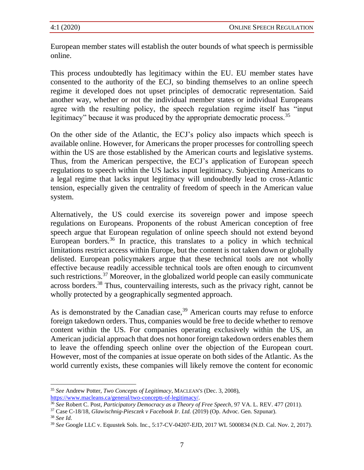European member states will establish the outer bounds of what speech is permissible online.

This process undoubtedly has legitimacy within the EU. EU member states have consented to the authority of the ECJ, so binding themselves to an online speech regime it developed does not upset principles of democratic representation. Said another way, whether or not the individual member states or individual Europeans agree with the resulting policy, the speech regulation regime itself has "input legitimacy" because it was produced by the appropriate democratic process.<sup>35</sup>

On the other side of the Atlantic, the ECJ's policy also impacts which speech is available online. However, for Americans the proper processes for controlling speech within the US are those established by the American courts and legislative systems. Thus, from the American perspective, the ECJ's application of European speech regulations to speech within the US lacks input legitimacy. Subjecting Americans to a legal regime that lacks input legitimacy will undoubtedly lead to cross-Atlantic tension, especially given the centrality of freedom of speech in the American value system.

Alternatively, the US could exercise its sovereign power and impose speech regulations on Europeans. Proponents of the robust American conception of free speech argue that European regulation of online speech should not extend beyond European borders.<sup>36</sup> In practice, this translates to a policy in which technical limitations restrict access within Europe, but the content is not taken down or globally delisted. European policymakers argue that these technical tools are not wholly effective because readily accessible technical tools are often enough to circumvent such restrictions.<sup>37</sup> Moreover, in the globalized world people can easily communicate across borders.<sup>38</sup> Thus, countervailing interests, such as the privacy right, cannot be wholly protected by a geographically segmented approach.

As is demonstrated by the Canadian case,  $39$  American courts may refuse to enforce foreign takedown orders. Thus, companies would be free to decide whether to remove content within the US. For companies operating exclusively within the US, an American judicial approach that does not honor foreign takedown orders enables them to leave the offending speech online over the objection of the European court. However, most of the companies at issue operate on both sides of the Atlantic. As the world currently exists, these companies will likely remove the content for economic

<sup>37</sup> Case C-18/18, *Glawischnig-Piesczek v Facebook Ir. Ltd.* (2019) (Op. Advoc. Gen. Szpunar).

<sup>35</sup> *See* Andrew Potter, *Two Concepts of Legitimacy*, MACLEAN'S (Dec. 3, 2008), [https://www.macleans.ca/general/two-concepts-of-legitimacy/.](https://www.macleans.ca/general/two-concepts-of-legitimacy/)

<sup>36</sup> *See* Robert C. Post, *Participatory Democracy as a Theory of Free Speech*, 97 VA. L. REV. 477 (2011).

<sup>38</sup> *See Id.* 

<sup>39</sup> *See* Google LLC v. Equustek Sols. Inc., 5:17-CV-04207-EJD, 2017 WL 5000834 (N.D. Cal. Nov. 2, 2017).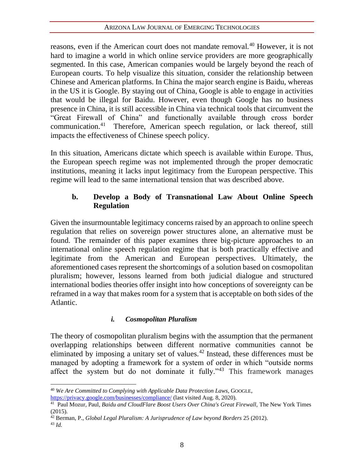reasons, even if the American court does not mandate removal.<sup>40</sup> However, it is not hard to imagine a world in which online service providers are more geographically segmented. In this case, American companies would be largely beyond the reach of European courts. To help visualize this situation, consider the relationship between Chinese and American platforms. In China the major search engine is Baidu, whereas in the US it is Google. By staying out of China, Google is able to engage in activities that would be illegal for Baidu. However, even though Google has no business presence in China, it is still accessible in China via technical tools that circumvent the "Great Firewall of China" and functionally available through cross border communication.<sup>41</sup> Therefore, American speech regulation, or lack thereof, still impacts the effectiveness of Chinese speech policy.

In this situation, Americans dictate which speech is available within Europe. Thus, the European speech regime was not implemented through the proper democratic institutions, meaning it lacks input legitimacy from the European perspective. This regime will lead to the same international tension that was described above.

#### **b. Develop a Body of Transnational Law About Online Speech Regulation**

Given the insurmountable legitimacy concerns raised by an approach to online speech regulation that relies on sovereign power structures alone, an alternative must be found. The remainder of this paper examines three big-picture approaches to an international online speech regulation regime that is both practically effective and legitimate from the American and European perspectives. Ultimately, the aforementioned cases represent the shortcomings of a solution based on cosmopolitan pluralism; however, lessons learned from both judicial dialogue and structured international bodies theories offer insight into how conceptions of sovereignty can be reframed in a way that makes room for a system that is acceptable on both sides of the Atlantic.

#### *i. Cosmopolitan Pluralism*

The theory of cosmopolitan pluralism begins with the assumption that the permanent overlapping relationships between different normative communities cannot be eliminated by imposing a unitary set of values.<sup>42</sup> Instead, these differences must be managed by adopting a framework for a system of order in which "outside norms affect the system but do not dominate it fully."<sup>43</sup> This framework manages

<sup>40</sup> *We Are Committed to Complying with Applicable Data Protection Laws*, GOOGLE[,](https://www.macleans.ca/general/two-concepts-of-legitimacy/) <https://privacy.google.com/businesses/compliance/> (last visited Aug. 8, 2020).

<sup>41</sup> Paul Mozur, Paul*, Baidu and CloudFlare Boost Users Over China's Great Firewall,* The New York Times (2015).

<sup>42</sup> Berman, P., *Global Legal Pluralism: A Jurisprudence of Law beyond Borders* 25 (2012).

 $^{43}$  *Id.*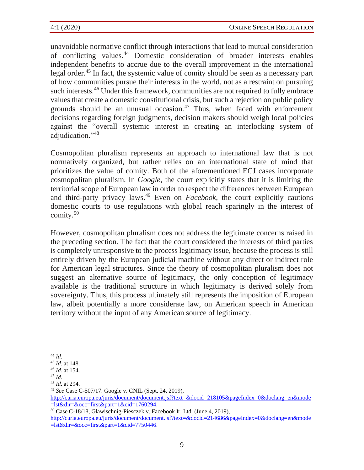unavoidable normative conflict through interactions that lead to mutual consideration of conflicting values.<sup>44</sup> Domestic consideration of broader interests enables independent benefits to accrue due to the overall improvement in the international legal order.<sup>45</sup> In fact, the systemic value of comity should be seen as a necessary part of how communities pursue their interests in the world, not as a restraint on pursuing such interests.<sup>46</sup> Under this framework, communities are not required to fully embrace values that create a domestic constitutional crisis, but such a rejection on public policy grounds should be an unusual occasion. $47$  Thus, when faced with enforcement decisions regarding foreign judgments, decision makers should weigh local policies against the "overall systemic interest in creating an interlocking system of adjudication."<sup>48</sup>

Cosmopolitan pluralism represents an approach to international law that is not normatively organized, but rather relies on an international state of mind that prioritizes the value of comity. Both of the aforementioned ECJ cases incorporate cosmopolitan pluralism. In *Google*, the court explicitly states that it is limiting the territorial scope of European law in order to respect the differences between European and third-party privacy laws.<sup>49</sup> Even on *Facebook*, the court explicitly cautions domestic courts to use regulations with global reach sparingly in the interest of comity.<sup>50</sup>

However, cosmopolitan pluralism does not address the legitimate concerns raised in the preceding section. The fact that the court considered the interests of third parties is completely unresponsive to the process legitimacy issue, because the process is still entirely driven by the European judicial machine without any direct or indirect role for American legal structures. Since the theory of cosmopolitan pluralism does not suggest an alternative source of legitimacy, the only conception of legitimacy available is the traditional structure in which legitimacy is derived solely from sovereignty. Thus, this process ultimately still represents the imposition of European law, albeit potentially a more considerate law, on American speech in American territory without the input of any American source of legitimacy.

<sup>44</sup> *Id.*

<sup>45</sup> *Id*. at 148.

<sup>46</sup> *Id*. at 154.

<sup>47</sup> *Id.*

<sup>48</sup> *Id*. at 294.

<sup>49</sup> *See* Case C-507/17. Google v. CNIL (Sept. 24, 2019),

[http://curia.europa.eu/juris/document/document.jsf?text=&docid=218105&pageIndex=0&doclang=en&mode](http://curia.europa.eu/juris/document/document.jsf?text=&docid=218105&pageIndex=0&doclang=en&mode=lst&dir=&occ=first&part=1&cid=1760294) [=lst&dir=&occ=first&part=1&cid=1760294.](http://curia.europa.eu/juris/document/document.jsf?text=&docid=218105&pageIndex=0&doclang=en&mode=lst&dir=&occ=first&part=1&cid=1760294)

<sup>50</sup> Case C-18/18, Glawischnig-Piesczek v. Facebook Ir. Ltd. (June 4, 2019),

[http://curia.europa.eu/juris/document/document.jsf?text=&docid=214686&pageIndex=0&doclang=en&mode](http://curia.europa.eu/juris/document/document.jsf?text=&docid=214686&pageIndex=0&doclang=en&mode=lst&dir=&occ=first&part=1&cid=7750446) [=lst&dir=&occ=first&part=1&cid=7750446.](http://curia.europa.eu/juris/document/document.jsf?text=&docid=214686&pageIndex=0&doclang=en&mode=lst&dir=&occ=first&part=1&cid=7750446)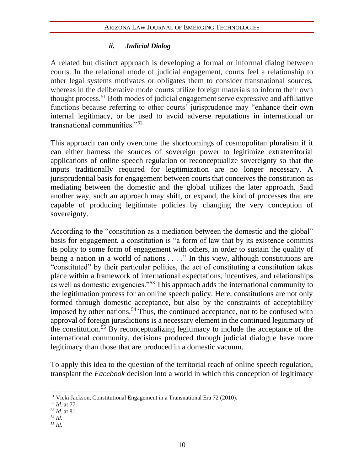#### *ii. Judicial Dialog*

A related but distinct approach is developing a formal or informal dialog between courts. In the relational mode of judicial engagement, courts feel a relationship to other legal systems motivates or obligates them to consider transnational sources, whereas in the deliberative mode courts utilize foreign materials to inform their own thought process.<sup>51</sup> Both modes of judicial engagement serve expressive and affiliative functions because referring to other courts' jurisprudence may "enhance their own internal legitimacy, or be used to avoid adverse reputations in international or transnational communities."<sup>52</sup>

This approach can only overcome the shortcomings of cosmopolitan pluralism if it can either harness the sources of sovereign power to legitimize extraterritorial applications of online speech regulation or reconceptualize sovereignty so that the inputs traditionally required for legitimization are no longer necessary. A jurisprudential basis for engagement between courts that conceives the constitution as mediating between the domestic and the global utilizes the later approach. Said another way, such an approach may shift, or expand, the kind of processes that are capable of producing legitimate policies by changing the very conception of sovereignty.

According to the "constitution as a mediation between the domestic and the global" basis for engagement, a constitution is "a form of law that by its existence commits its polity to some form of engagement with others, in order to sustain the quality of being a nation in a world of nations . . . ." In this view, although constitutions are "constituted" by their particular polities, the act of constituting a constitution takes place within a framework of international expectations, incentives, and relationships as well as domestic exigencies."<sup>53</sup> This approach adds the international community to the legitimation process for an online speech policy. Here, constitutions are not only formed through domestic acceptance, but also by the constraints of acceptability imposed by other nations.<sup>54</sup> Thus, the continued acceptance, not to be confused with approval of foreign jurisdictions is a necessary element in the continued legitimacy of the constitution.<sup>55</sup> By reconceptualizing legitimacy to include the acceptance of the international community, decisions produced through judicial dialogue have more legitimacy than those that are produced in a domestic vacuum.

To apply this idea to the question of the territorial reach of online speech regulation, transplant the *Facebook* decision into a world in which this conception of legitimacy

- <sup>54</sup> *Id.*
- <sup>55</sup> *Id.*

<sup>51</sup> Vicki Jackson, Constitutional Engagement in a Transnational Era 72 (2010).

<sup>52</sup> *Id.* at 77.

<sup>53</sup> *Id.* at 81.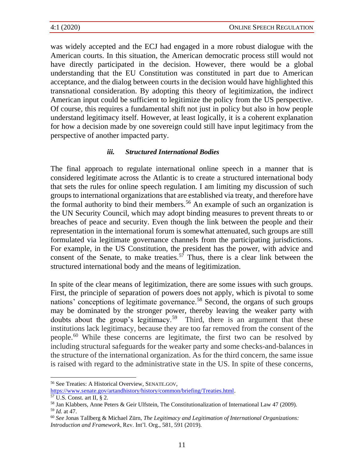was widely accepted and the ECJ had engaged in a more robust dialogue with the American courts. In this situation, the American democratic process still would not have directly participated in the decision. However, there would be a global understanding that the EU Constitution was constituted in part due to American acceptance, and the dialog between courts in the decision would have highlighted this transnational consideration. By adopting this theory of legitimization, the indirect American input could be sufficient to legitimize the policy from the US perspective. Of course, this requires a fundamental shift not just in policy but also in how people understand legitimacy itself. However, at least logically, it is a coherent explanation for how a decision made by one sovereign could still have input legitimacy from the perspective of another impacted party.

#### *iii. Structured International Bodies*

The final approach to regulate international online speech in a manner that is considered legitimate across the Atlantic is to create a structured international body that sets the rules for online speech regulation. I am limiting my discussion of such groups to international organizations that are established via treaty, and therefore have the formal authority to bind their members.<sup>56</sup> An example of such an organization is the UN Security Council, which may adopt binding measures to prevent threats to or breaches of peace and security. Even though the link between the people and their representation in the international forum is somewhat attenuated, such groups are still formulated via legitimate governance channels from the participating jurisdictions. For example, in the US Constitution, the president has the power, with advice and consent of the Senate, to make treaties.<sup>57</sup> Thus, there is a clear link between the structured international body and the means of legitimization.

In spite of the clear means of legitimization, there are some issues with such groups. First, the principle of separation of powers does not apply, which is pivotal to some nations' conceptions of legitimate governance.<sup>58</sup> Second, the organs of such groups may be dominated by the stronger power, thereby leaving the weaker party with doubts about the group's legitimacy.<sup>59</sup> Third, there is an argument that these institutions lack legitimacy, because they are too far removed from the consent of the people.<sup>60</sup> While these concerns are legitimate, the first two can be resolved by including structural safeguards for the weaker party and some checks-and-balances in the structure of the international organization. As for the third concern, the same issue is raised with regard to the administrative state in the US. In spite of these concerns,

<sup>56</sup> See Treaties: A Historical Overview, SENATE.GOV,

[https://www.senate.gov/artandhistory/history/common/briefing/Treaties.html.](https://www.senate.gov/artandhistory/history/common/briefing/Treaties.html)

<sup>57</sup> U.S. Const. art II, § 2.

<sup>58</sup> Jan Klabbers, Anne Peters & Geir Ulfstein, The Constitutionalization of International Law 47 (2009). <sup>59</sup> *Id.* at 47.

<sup>60</sup> *See* Jonas Tallberg & Michael Zürn, *The Legitimacy and Legitimation of International Organizations: Introduction and Framework*, Rev. Int'l. Org., 581, 591 (2019).